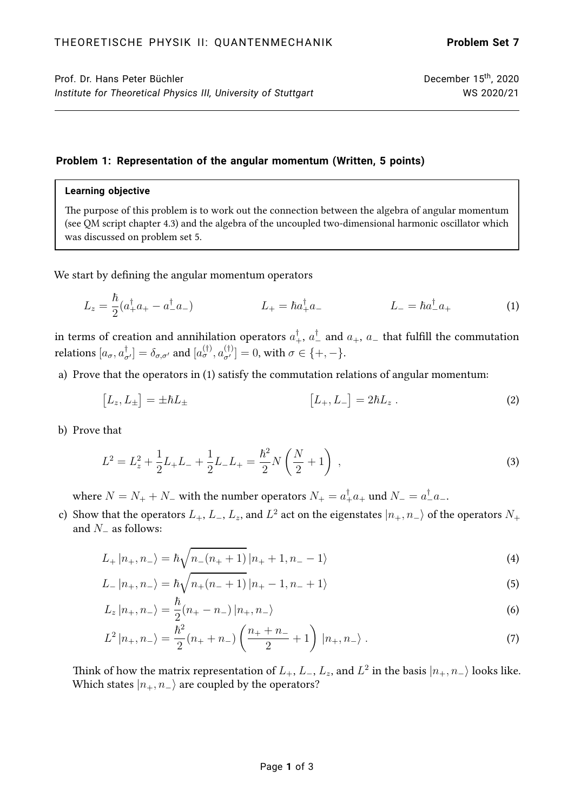# **Problem 1: Representation of the angular momentum (Written, 5 points)**

### **Learning objective**

The purpose of this problem is to work out the connection between the algebra of angular momentum (see QM script chapter 4.3) and the algebra of the uncoupled two-dimensional harmonic oscillator which was discussed on problem set 5.

We start by defining the angular momentum operators

$$
L_z = \frac{\hbar}{2}(a_+^{\dagger}a_+ - a_-^{\dagger}a_-) \qquad L_+ = \hbar a_+^{\dagger}a_- \qquad L_- = \hbar a_-^{\dagger}a_+ \qquad (1)
$$

in terms of creation and annihilation operators  $a_+^\dagger,$   $a_-^\dagger$  and  $a_+$ ,  $a_-$  that fulfill the commutation relations  $[a_\sigma,a_{\sigma'}^\dagger]=\delta_{\sigma,\sigma'}$  and  $[a_\sigma^{(\dagger)},a_{\sigma'}^{(\dagger)}]=0,$  with  $\sigma\in\{+,-\}.$ 

a) Prove that the operators in [\(1\)](#page-0-0) satisfy the commutation relations of angular momentum:

<span id="page-0-0"></span>
$$
[L_z, L_{\pm}] = \pm \hbar L_{\pm} \qquad [L_+, L_-] = 2\hbar L_z \ . \tag{2}
$$

b) Prove that

$$
L^{2} = L_{z}^{2} + \frac{1}{2}L_{+}L_{-} + \frac{1}{2}L_{-}L_{+} = \frac{\hbar^{2}}{2}N\left(\frac{N}{2} + 1\right) , \qquad (3)
$$

where  $N=N_++N_-$  with the number operators  $N_+=a_+^\dagger a_+$  und  $N_-=a_-^\dagger a_-$ .

c) Show that the operators  $L_+,$   $L_-,$   $L_z,$  and  $L^2$  act on the eigenstates  $\ket{n_+,n_-}$  of the operators  $N_+$ and  $N_$  as follows:

<span id="page-0-1"></span>
$$
L_{+} |n_{+}, n_{-}\rangle = \hbar \sqrt{n_{-}(n_{+}+1)} |n_{+}+1, n_{-}-1\rangle \tag{4}
$$

$$
L_{-}|n_{+},n_{-}\rangle = \hbar\sqrt{n_{+}(n_{-}+1)}\,|n_{+}-1,n_{-}+1\rangle\tag{5}
$$

$$
L_z |n_+, n_- \rangle = \frac{\hbar}{2} (n_+ - n_-) |n_+, n_- \rangle \tag{6}
$$

<span id="page-0-2"></span>
$$
L^{2} |n_{+}, n_{-}\rangle = \frac{\hbar^{2}}{2} (n_{+} + n_{-}) \left(\frac{n_{+} + n_{-}}{2} + 1\right) |n_{+}, n_{-}\rangle . \tag{7}
$$

Think of how the matrix representation of  $L_+,$   $L_-,$   $L_z,$  and  $L^2$  in the basis  $|n_+,n_-\rangle$  looks like. Which states  $|n_+, n_-\rangle$  are coupled by the operators?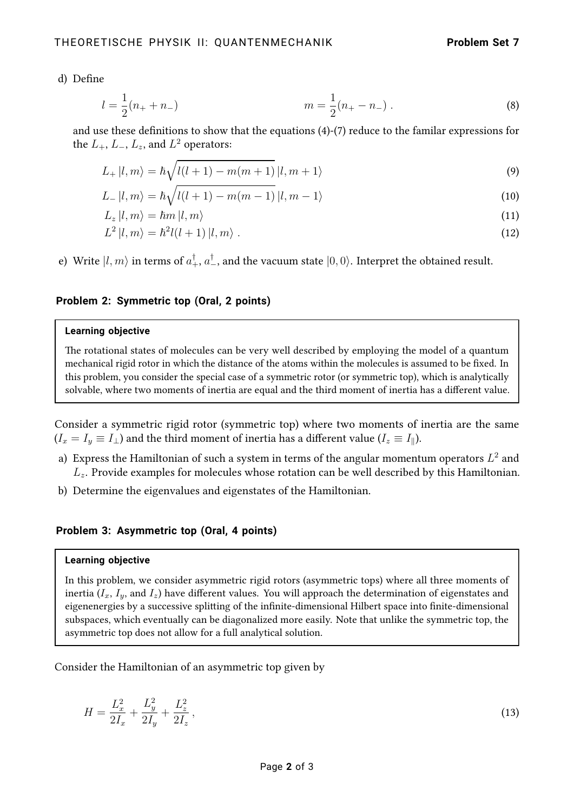d) Define

$$
l = \frac{1}{2}(n_{+} + n_{-})
$$
 (8)

and use these definitions to show that the equations [\(4\)](#page-0-1)-[\(7\)](#page-0-2) reduce to the familar expressions for the  $L_+,$   $L_-,$   $L_z,$  and  $L^2$  operators:

$$
L_{+}|l,m\rangle = \hbar\sqrt{l(l+1) - m(m+1)}\,|l,m+1\rangle\tag{9}
$$

$$
L_{-}|l,m\rangle = \hbar\sqrt{l(l+1) - m(m-1)}\,|l,m-1\rangle\tag{10}
$$

$$
L_z |l, m\rangle = \hbar m |l, m\rangle \tag{11}
$$

$$
L^2 |l, m\rangle = \hbar^2 l(l+1) |l, m\rangle. \tag{12}
$$

e) Write  $\ket{l,m}$  in terms of  $a_+^{\dagger},$   $a_-^{\dagger}$ , and the vacuum state  $\ket{0,0}$ . Interpret the obtained result.

# **Problem 2: Symmetric top (Oral, 2 points)**

#### **Learning objective**

The rotational states of molecules can be very well described by employing the model of a quantum mechanical rigid rotor in which the distance of the atoms within the molecules is assumed to be fixed. In this problem, you consider the special case of a symmetric rotor (or symmetric top), which is analytically solvable, where two moments of inertia are equal and the third moment of inertia has a different value.

Consider a symmetric rigid rotor (symmetric top) where two moments of inertia are the same  $(I_x = I_y \equiv I_\perp)$  and the third moment of inertia has a different value  $(I_z \equiv I_\parallel)$ .

- a) Express the Hamiltonian of such a system in terms of the angular momentum operators  $L^2$  and  $L<sub>z</sub>$ . Provide examples for molecules whose rotation can be well described by this Hamiltonian.
- b) Determine the eigenvalues and eigenstates of the Hamiltonian.

## **Problem 3: Asymmetric top (Oral, 4 points)**

#### **Learning objective**

In this problem, we consider asymmetric rigid rotors (asymmetric tops) where all three moments of inertia ( $I_x$ ,  $I_y$ , and  $I_z$ ) have different values. You will approach the determination of eigenstates and eigenenergies by a successive splitting of the infinite-dimensional Hilbert space into finite-dimensional subspaces, which eventually can be diagonalized more easily. Note that unlike the symmetric top, the asymmetric top does not allow for a full analytical solution.

Consider the Hamiltonian of an asymmetric top given by

$$
H = \frac{L_x^2}{2I_x} + \frac{L_y^2}{2I_y} + \frac{L_z^2}{2I_z},\tag{13}
$$